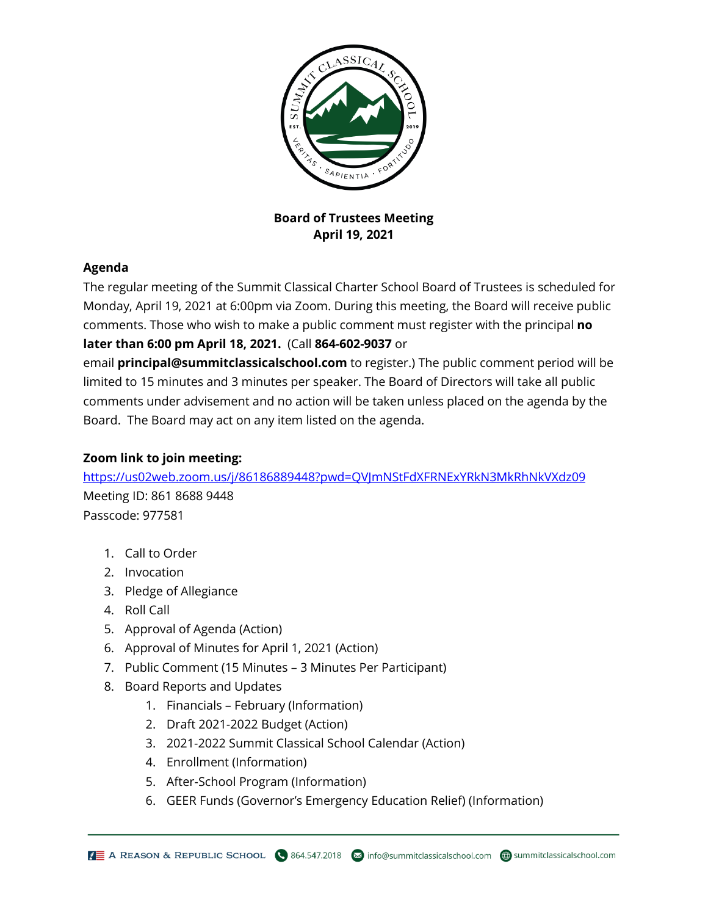

**Board of Trustees Meeting April 19, 2021**

## **Agenda**

The regular meeting of the Summit Classical Charter School Board of Trustees is scheduled for Monday, April 19, 2021 at 6:00pm via Zoom. During this meeting, the Board will receive public comments. Those who wish to make a public comment must register with the principal **no later than 6:00 pm April 18, 2021.** (Call **864-602-9037** or

email **principal@summitclassicalschool.com** to register.) The public comment period will be limited to 15 minutes and 3 minutes per speaker. The Board of Directors will take all public comments under advisement and no action will be taken unless placed on the agenda by the Board. The Board may act on any item listed on the agenda.

## **Zoom link to join meeting:**

<https://us02web.zoom.us/j/86186889448?pwd=QVJmNStFdXFRNExYRkN3MkRhNkVXdz09> Meeting ID: 861 8688 9448 Passcode: 977581

- 1. Call to Order
- 2. Invocation
- 3. Pledge of Allegiance
- 4. Roll Call
- 5. Approval of Agenda (Action)
- 6. Approval of Minutes for April 1, 2021 (Action)
- 7. Public Comment (15 Minutes 3 Minutes Per Participant)
- 8. Board Reports and Updates
	- 1. Financials February (Information)
	- 2. Draft 2021-2022 Budget (Action)
	- 3. 2021-2022 Summit Classical School Calendar (Action)
	- 4. Enrollment (Information)
	- 5. After-School Program (Information)
	- 6. GEER Funds (Governor's Emergency Education Relief) (Information)